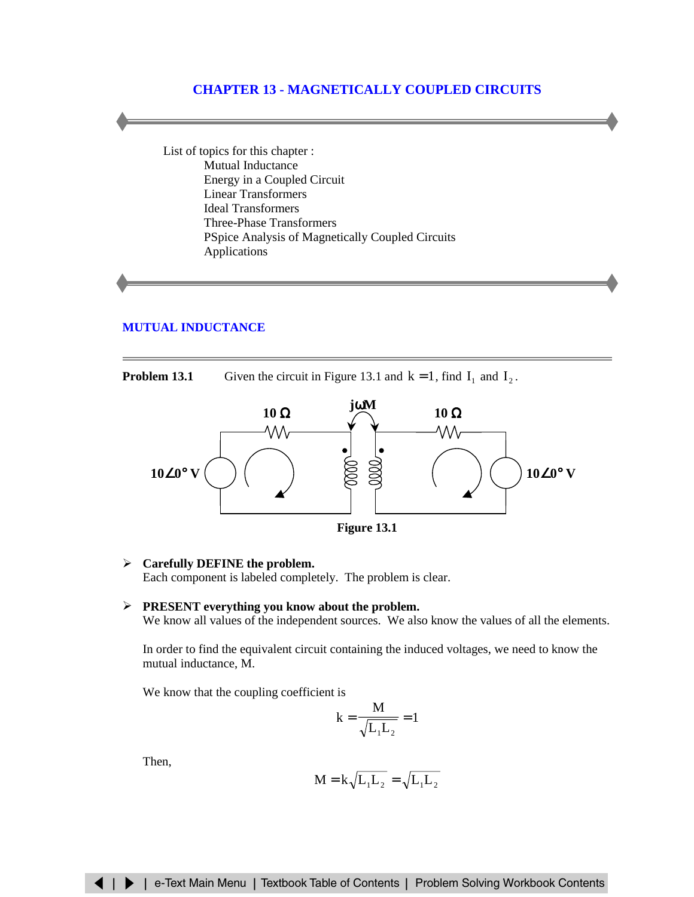# **CHAPTER 13 - MAGNETICALLY COUPLED CIRCUITS**

List of topics for this chapter : Mutual Inductance [Energy in a Coupled Circuit](#page-5-0) [Linear Transformers](#page-12-0) [Ideal Transformers](#page-13-0) [Three-Phase Transformers](#page-17-0) [PSpice Analysis of Magnetically Coupled Circuits](#page-19-0) [Applications](#page-20-0)

## **[MUTUAL INDUCTANCE](#page-1-0)**

**Problem 13.1** Given the circuit in Figure 13.1 and  $k = 1$ , find  $I_1$  and  $I_2$ .



**Figure 13.1**

#### ¾ **Carefully DEFINE the problem.**

Each component is labeled completely. The problem is clear.

#### ¾ **PRESENT everything you know about the problem.**

We know all values of the independent sources. We also know the values of all the elements.

In order to find the equivalent circuit containing the induced voltages, we need to know the mutual inductance, M.

We know that the coupling coefficient is

$$
k=\frac{M}{\sqrt{L_1L_2}}=1
$$

Then,

$$
M = k\sqrt{L_1L_2} = \sqrt{L_1L_2}
$$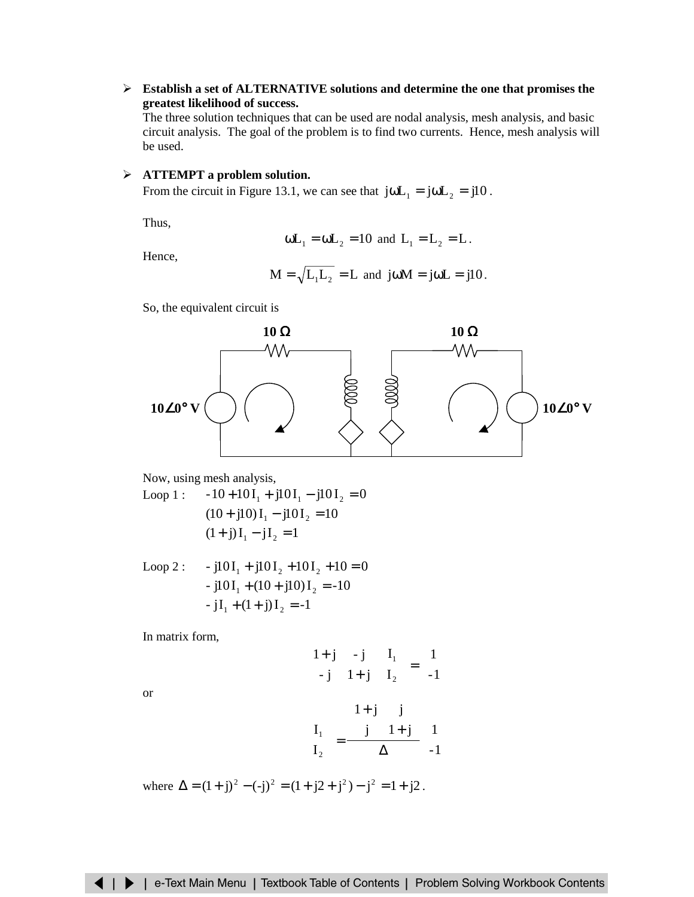<span id="page-1-0"></span>¾ **Establish a set of ALTERNATIVE solutions and determine the one that promises the greatest likelihood of success.**

The three solution techniques that can be used are nodal analysis, mesh analysis, and basic circuit analysis. The goal of the problem is to find two currents. Hence, mesh analysis will be used.

### ¾ **ATTEMPT a problem solution.**

From the circuit in Figure 13.1, we can see that  $j\omega L_1 = j\omega L_2 = j10$ .

Thus,

$$
\omega
$$
L<sub>1</sub> =  $\omega$ L<sub>2</sub> = 10 and L<sub>1</sub> = L<sub>2</sub> = L.

Hence,

$$
M = \sqrt{L_1 L_2} = L
$$
 and  $j\omega M = j\omega L = j10$ .

So, the equivalent circuit is



Now, using mesh analysis,

Loop 1: 
$$
-10+10I_1 + j10I_1 - j10I_2 = 0
$$
  
\n $(10+j10)I_1 - j10I_2 = 10$   
\n $(1+j)I_1 - jI_2 = 1$ 

Loop 2: 
$$
-j10I_1 + j10I_2 + 10I_2 + 10 = 0
$$

$$
-j10I_1 + (10 + j10)I_2 = -10
$$

$$
-jI_1 + (1 + j)I_2 = -1
$$

In matrix form,

$$
\begin{bmatrix} 1+j & -j \\ -j & 1+j \end{bmatrix} \begin{bmatrix} I_1 \\ I_2 \end{bmatrix} = \begin{bmatrix} 1 \\ -1 \end{bmatrix}
$$

$$
\begin{bmatrix} 1+i & i \end{bmatrix}
$$

or

$$
\left[\begin{array}{c} I_1 \\ I_2 \end{array}\right] = \frac{\left[\begin{array}{cc} 1+j & j \\ j & 1+j \end{array}\right]}{\Delta} \left[\begin{array}{c} 1 \\ -1 \end{array}\right]
$$

where  $\Delta = (1 + i)^2 - (-i)^2 = (1 + i2 + i^2) - i^2 = 1 + i2$ .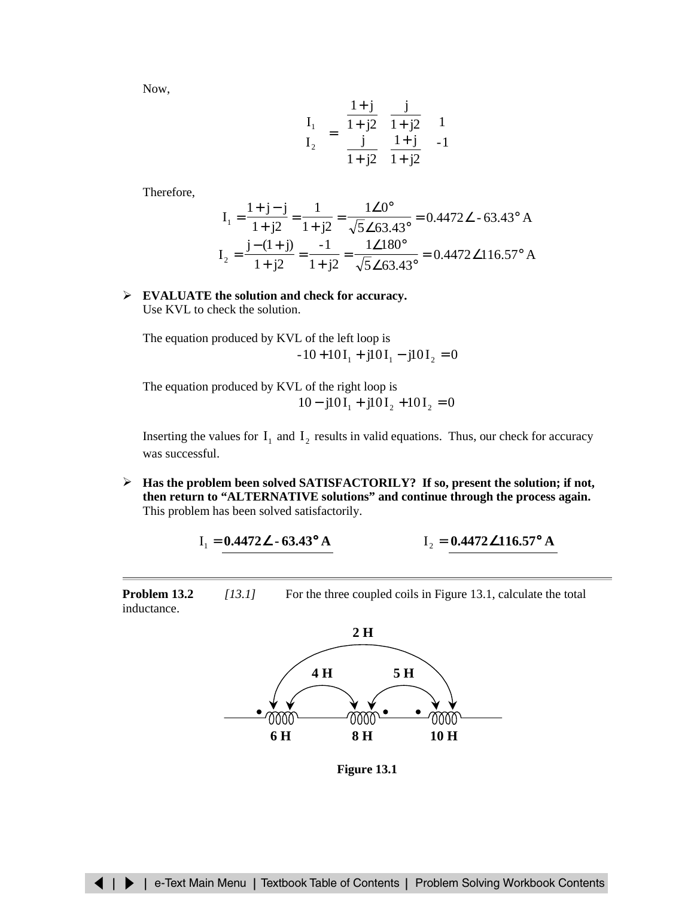Now,

$$
\begin{bmatrix} \mathbf{I}_1 \\ \mathbf{I}_2 \end{bmatrix} = \begin{bmatrix} \frac{1+j}{1+j2} & \frac{j}{1+j2} \\ \frac{j}{1+j2} & \frac{1+j}{1+j2} \end{bmatrix} \begin{bmatrix} 1 \\ -1 \end{bmatrix}
$$

Therefore,

$$
I_1 = \frac{1+j-j}{1+j2} = \frac{1}{1+j2} = \frac{1\angle 0^{\circ}}{\sqrt{5}\angle 63.43^{\circ}} = 0.4472\angle -63.43^{\circ} A
$$
  

$$
I_2 = \frac{j-(1+j)}{1+j2} = \frac{-1}{1+j2} = \frac{1\angle 180^{\circ}}{\sqrt{5}\angle 63.43^{\circ}} = 0.4472\angle 116.57^{\circ} A
$$

### ¾ **EVALUATE the solution and check for accuracy.** Use KVL to check the solution.

The equation produced by KVL of the left loop is  $-10 + 10I_1 + j10I_1 - j10I_2 = 0$ 

The equation produced by KVL of the right loop is  $10 - j10I_1 + j10I_2 + 10I_2 = 0$ 

Inserting the values for  $I_1$  and  $I_2$  results in valid equations. Thus, our check for accuracy was successful.

¾ **Has the problem been solved SATISFACTORILY? If so, present the solution; if not, then return to "ALTERNATIVE solutions" and continue through the process again.** This problem has been solved satisfactorily.

$$
I_1 = 0.4472 \angle -63.43^{\circ} A \qquad I_2 = 0.4472 \angle 116.57^{\circ} A
$$

**Problem 13.2** *[13.1]* For the three coupled coils in Figure 13.1, calculate the total inductance.



**Figure 13.1**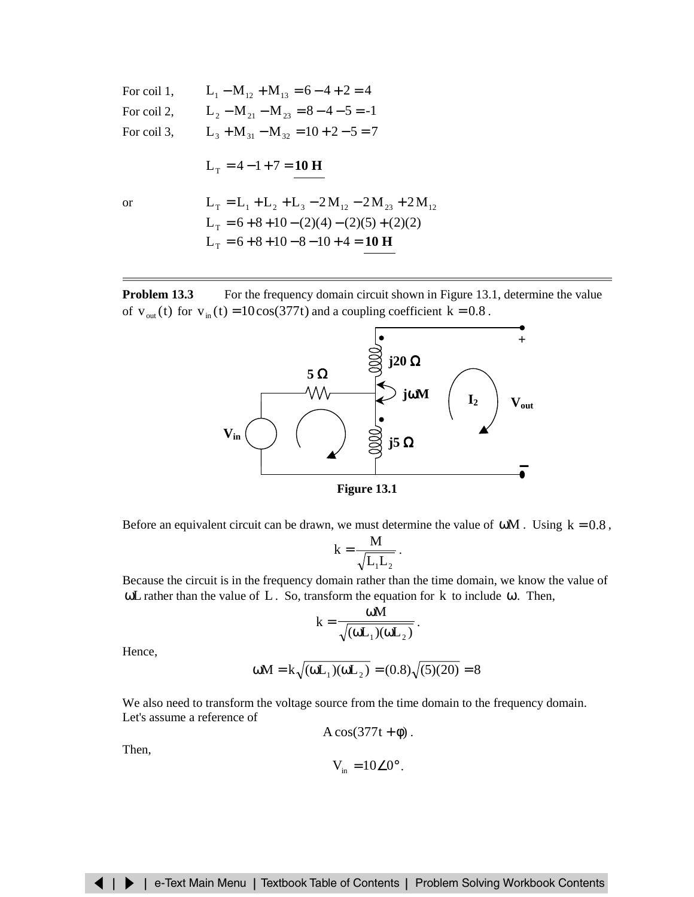For coil 1, 
$$
L_1 - M_{12} + M_{13} = 6 - 4 + 2 = 4
$$
  
\nFor coil 2,  $L_2 - M_{21} - M_{23} = 8 - 4 - 5 = -1$   
\nFor coil 3,  $L_3 + M_{31} - M_{32} = 10 + 2 - 5 = 7$   
\n $L_T = 4 - 1 + 7 = 10$  H  
\nor  $L_T = L_1 + L_2 + L_3 - 2M_{12} - 2M_{23} + 2M_{12}$   
\n $L_T = 6 + 8 + 10 - (2)(4) - (2)(5) + (2)(2)$   
\n $L_T = 6 + 8 + 10 - 8 - 10 + 4 = 10$  H

**Problem 13.3** For the frequency domain circuit shown in Figure 13.1, determine the value of  $v_{out}(t)$  for  $v_{in}(t) = 10\cos(377t)$  and a coupling coefficient  $k = 0.8$ .





Before an equivalent circuit can be drawn, we must determine the value of  $\omega M$ . Using  $k = 0.8$ ,

$$
k = \frac{M}{\sqrt{L_1L_2}}.
$$

Because the circuit is in the frequency domain rather than the time domain, we know the value of ωL rather than the value of L. So, transform the equation for  $k$  to include ω. Then,

$$
k = \frac{\omega M}{\sqrt{(\omega L_1)(\omega L_2)}}.
$$

Hence,

$$
\omega M = k \sqrt{(\omega L_1)(\omega L_2)} = (0.8) \sqrt{(5)(20)} = 8
$$

We also need to transform the voltage source from the time domain to the frequency domain. Let's assume a reference of

$$
A\cos(377t+\phi).
$$

Then,

$$
V_{in} = 10\angle 0^{\circ}.
$$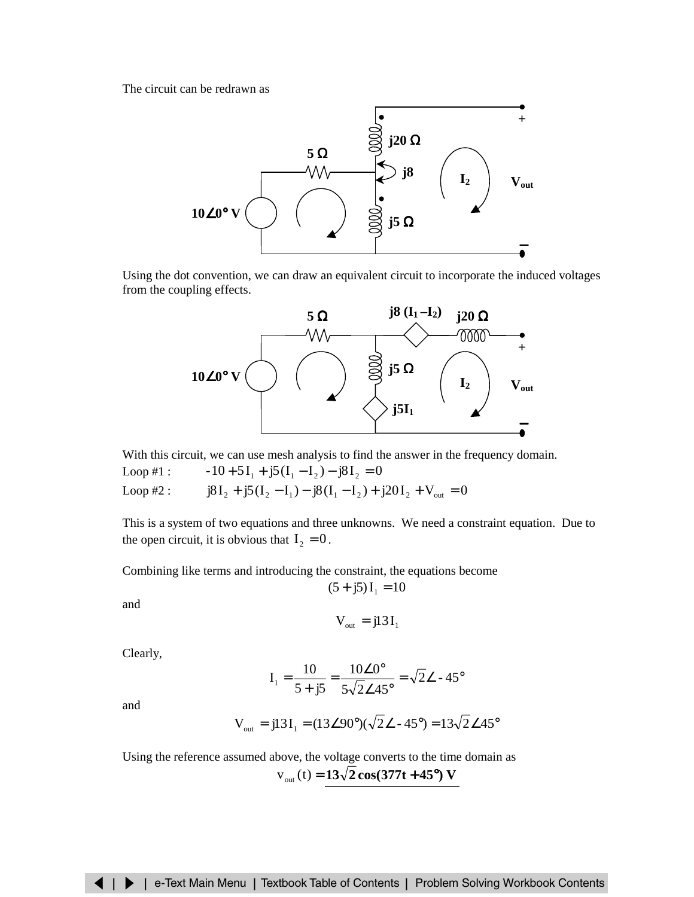The circuit can be redrawn as



Using the dot convention, we can draw an equivalent circuit to incorporate the induced voltages from the coupling effects.



With this circuit, we can use mesh analysis to find the answer in the frequency domain. Loop #1 :  $-10+5I_1 + j5(I_1 - I_2) - j8I_2 = 0$ Loop #2 :  $j8I_2 + j5(I_2 - I_1) - j8(I_1 - I_2) + j20I_2 + V_{out} = 0$ 

This is a system of two equations and three unknowns. We need a constraint equation. Due to the open circuit, it is obvious that  $I_2 = 0$ .

Combining like terms and introducing the constraint, the equations become

and

$$
V_{\text{out}} = j13 I_1
$$

 $(5 + j5)I_1 = 10$ 

Clearly,

$$
I_1 = \frac{10}{5 + j5} = \frac{10 \angle 0^{\circ}}{5 \sqrt{2} \angle 45^{\circ}} = \sqrt{2} \angle -45^{\circ}
$$

and

$$
V_{\text{out}} = j13I_1 = (13\angle 90^\circ)(\sqrt{2}\angle - 45^\circ) = 13\sqrt{2}\angle 45^\circ
$$

Using the reference assumed above, the voltage converts to the time domain as  $v_{\text{out}}(t) = 13\sqrt{2} \cos(377t + 45^{\circ})$  **V**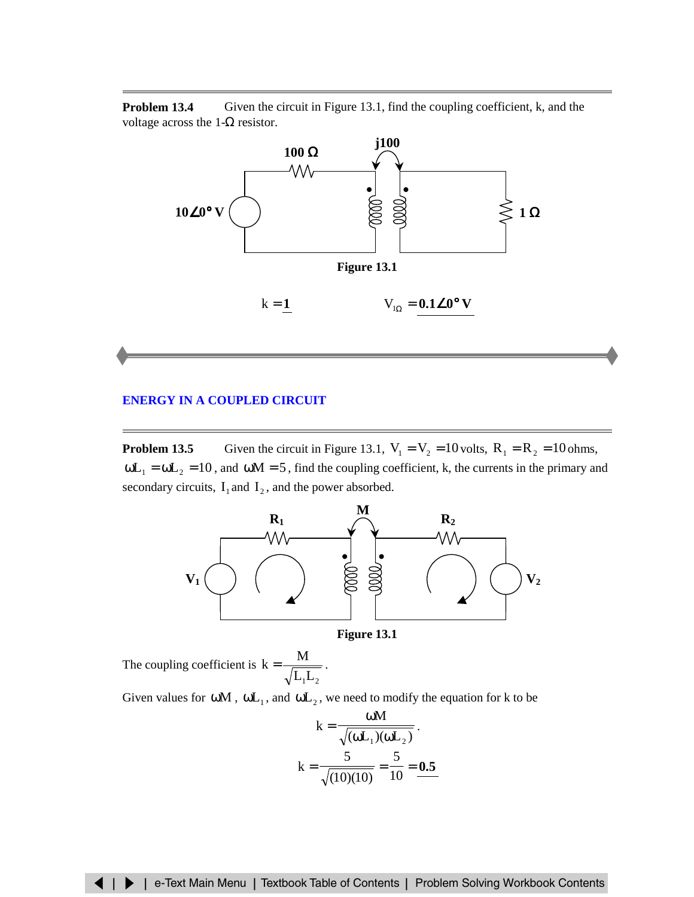<span id="page-5-0"></span>**Problem 13.4** Given the circuit in Figure 13.1, find the coupling coefficient, k, and the voltage across the  $1-\Omega$  resistor.



### **ENERGY [IN A COUPLED CIRCUIT](#page-8-0)**

**Problem 13.5** Given the circuit in Figure 13.1,  $V_1 = V_2 = 10$  volts,  $R_1 = R_2 = 10$  ohms,  $\omega L_1 = \omega L_2 = 10$ , and  $\omega M = 5$ , find the coupling coefficient, k, the currents in the primary and secondary circuits,  $I_1$  and  $I_2$ , and the power absorbed.



**Figure 13.1**

The coupling coefficient is  $k = \frac{1}{\sqrt{L_1 L_2}}$  $k = \frac{M}{\sqrt{M}}$ .

Given values for  $\omega M$ ,  $\omega L_1$ , and  $\omega L_2$ , we need to modify the equation for k to be

$$
k = \frac{\omega M}{\sqrt{(\omega L_1)(\omega L_2)}}.
$$

$$
k = \frac{5}{\sqrt{(10)(10)}} = \frac{5}{10} = \frac{0.5}{10}
$$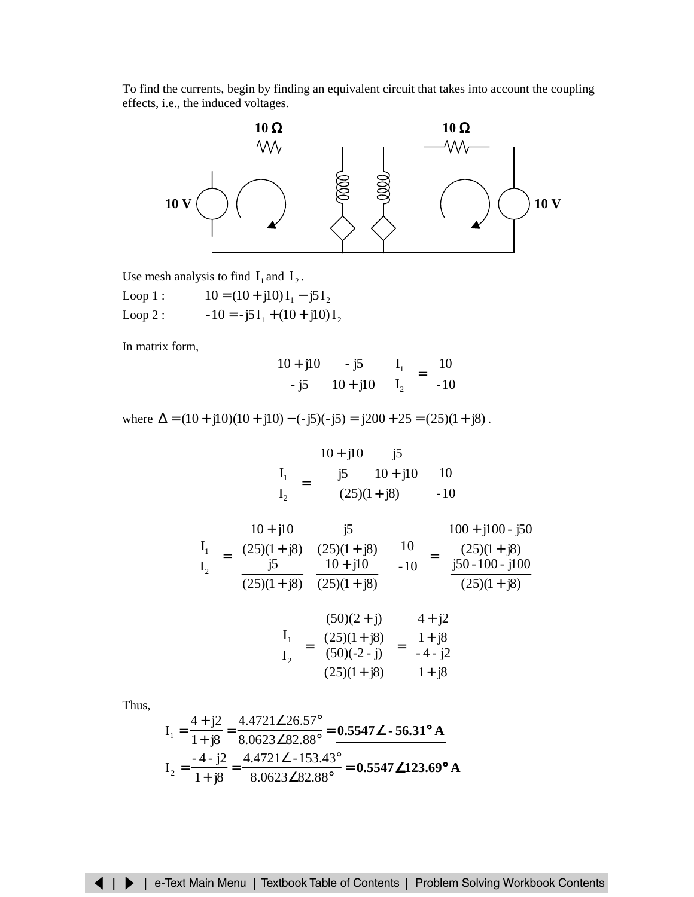To find the currents, begin by finding an equivalent circuit that takes into account the coupling effects, i.e., the induced voltages.



Use mesh analysis to find  $I_1$  and  $I_2$ .

Loop 1 :  $10 = (10 + j10)I_1 - j5I_2$ Loop 2 :  $-10 = -j5I_1 + (10 + j10)I_2$ 

In matrix form,

$$
\begin{bmatrix} 10 + j10 & -j5 \\ -j5 & 10 + j10 \end{bmatrix} \begin{bmatrix} I_1 \\ I_2 \end{bmatrix} = \begin{bmatrix} 10 \\ -10 \end{bmatrix}
$$

where  $\Delta = (10 + j10)(10 + j10) - (-j5)(-j5) = j200 + 25 = (25)(1 + j8)$ .

$$
\begin{bmatrix} I_1 \\ I_2 \end{bmatrix} = \frac{\begin{bmatrix} 10 + j10 & j5 \\ j5 & 10 + j10 \end{bmatrix}}{(25)(1 + j8)} \begin{bmatrix} 10 \\ -10 \end{bmatrix}
$$

$$
\begin{bmatrix} I_1 \\ I_2 \end{bmatrix} = \begin{bmatrix} \frac{10 + j10}{(25)(1 + j8)} & \frac{j5}{(25)(1 + j8)} \\ \frac{j5}{(25)(1 + j8)} & \frac{10 + j10}{(25)(1 + j8)} \end{bmatrix} \begin{bmatrix} 10 \\ -10 \end{bmatrix} = \begin{bmatrix} \frac{100 + j100 - j50}{(25)(1 + j8)} \\ \frac{j50 - 100 - j100}{(25)(1 + j8)} \end{bmatrix}
$$

$$
\begin{bmatrix} I_1 \\ I_2 \end{bmatrix} = \begin{bmatrix} \frac{(50)(2 + j)}{(25)(1 + j8)} \\ \frac{(50)(-2 - j)}{(25)(1 + j8)} \end{bmatrix} = \begin{bmatrix} \frac{4 + j2}{1 + j8} \\ \frac{-4 - j2}{1 + j8} \end{bmatrix}
$$

Thus,

$$
I_1 = \frac{4 + j2}{1 + j8} = \frac{4.4721 \angle 26.57^{\circ}}{8.0623 \angle 82.88^{\circ}} = \frac{\textbf{0.5547} \angle \cdot \textbf{56.31}^{\circ} \text{ A}}{0.5547 \angle 153.43^{\circ}}
$$
\n
$$
I_2 = \frac{-4 - j2}{1 + j8} = \frac{4.4721 \angle -153.43^{\circ}}{8.0623 \angle 82.88^{\circ}} = \frac{\textbf{0.5547} \angle 123.69^{\circ} \text{ A}}{0.5547 \angle 123.69^{\circ} \text{ A}}
$$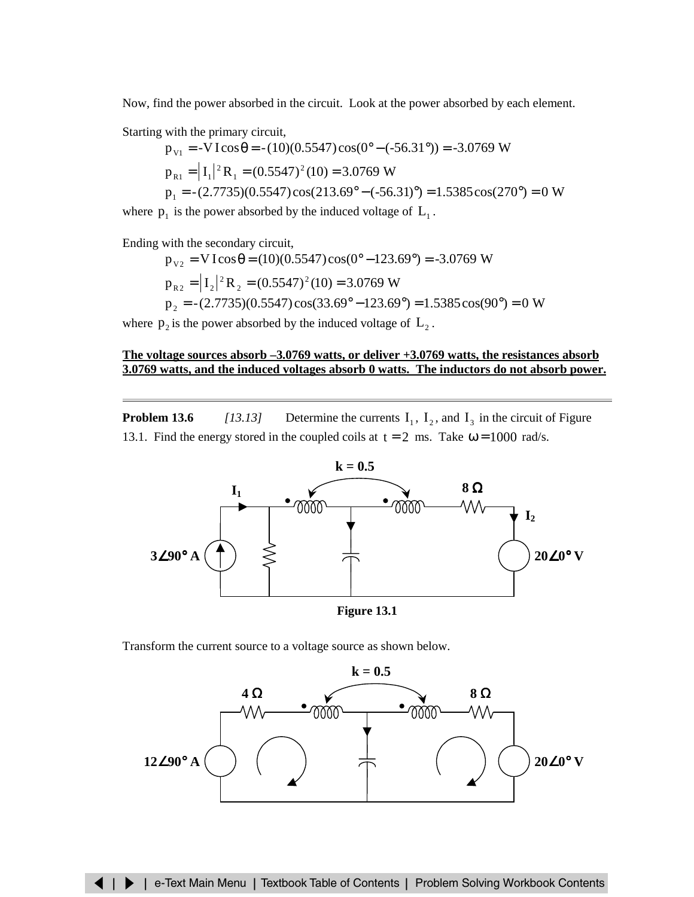Now, find the power absorbed in the circuit. Look at the power absorbed by each element.

Starting with the primary circuit,

$$
p_{v1} = -VI\cos\theta = -(10)(0.5547)\cos(0^\circ - (-56.31^\circ)) = -3.0769 \text{ W}
$$
  
\n
$$
p_{R1} = |I_1|^2 R_1 = (0.5547)^2 (10) = 3.0769 \text{ W}
$$
  
\n
$$
p_1 = -(2.7735)(0.5547)\cos(213.69^\circ - (-56.31)^\circ) = 1.5385\cos(270^\circ) = 0 \text{ W}
$$

where  $p_1$  is the power absorbed by the induced voltage of  $L_1$ .

Ending with the secondary circuit,

$$
p_{v2} = VI\cos\theta = (10)(0.5547)\cos(0^{\circ} - 123.69^{\circ}) = -3.0769 \text{ W}
$$
  
\n
$$
p_{R2} = |I_2|^2 R_2 = (0.5547)^2 (10) = 3.0769 \text{ W}
$$
  
\n
$$
p_2 = -(2.7735)(0.5547)\cos(33.69^{\circ} - 123.69^{\circ}) = 1.5385\cos(90^{\circ}) = 0 \text{ W}
$$

where  $p_2$  is the power absorbed by the induced voltage of  $L_2$ .

### **The voltage sources absorb –3.0769 watts, or deliver +3.0769 watts, the resistances absorb 3.0769 watts, and the induced voltages absorb 0 watts. The inductors do not absorb power.**

**Problem 13.6** *[13.13]* Determine the currents  $I_1$ ,  $I_2$ , and  $I_3$  in the circuit of Figure 13.1. Find the energy stored in the coupled coils at  $t = 2$  ms. Take  $\omega = 1000$  rad/s.



**Figure 13.1**

Transform the current source to a voltage source as shown below.

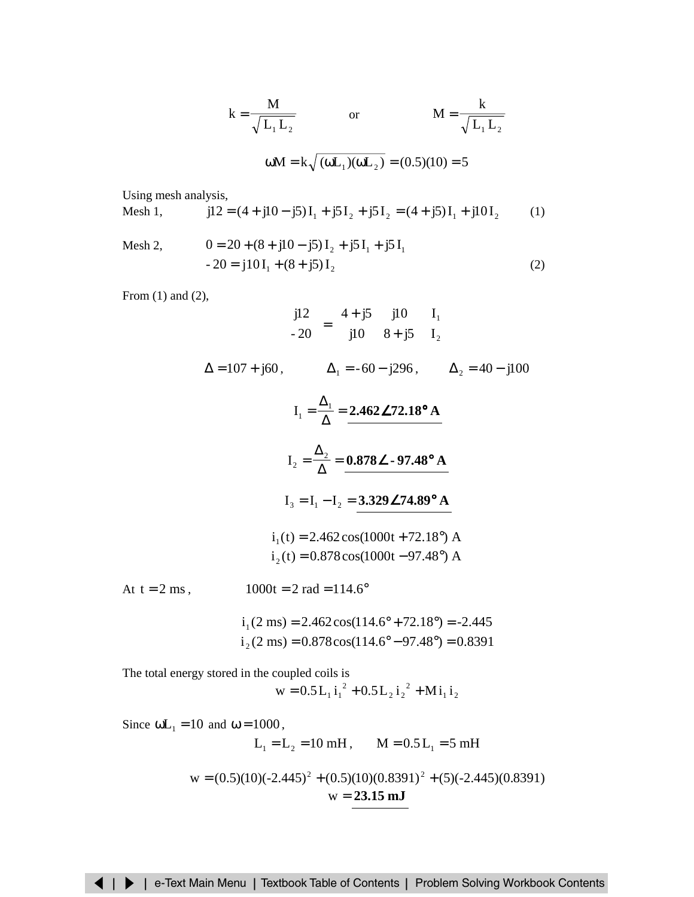$$
k = \frac{M}{\sqrt{L_1 L_2}}
$$
 or  $M = \frac{k}{\sqrt{L_1 L_2}}$   
  $\omega M = k \sqrt{(\omega L_1)(\omega L_2)} = (0.5)(10) = 5$ 

<span id="page-8-0"></span>Using mesh analysis,

$$
\text{Mesh 1,} \qquad \qquad \text{j12} = (4 + \text{j10} - \text{j5})\,\mathbf{I}_1 + \text{j5}\,\mathbf{I}_2 + \text{j5}\,\mathbf{I}_2 = (4 + \text{j5})\,\mathbf{I}_1 + \text{j10}\,\mathbf{I}_2 \qquad (1)
$$

$$
\begin{aligned}\n\text{Mesh 2,} & 0 &= 20 + (8 + j10 - j5) \, \text{I}_2 + j5 \, \text{I}_1 + j5 \, \text{I}_1 \\
&\quad -20 &= j10 \, \text{I}_1 + (8 + j5) \, \text{I}_2\n\end{aligned}\n\tag{2}
$$

From (1) and (2),

$$
\begin{bmatrix} \text{j12} \\ \frac{1}{20} \end{bmatrix} = \begin{bmatrix} 4 + \text{j}5 & \text{j10} \\ \text{j10} & 8 + \text{j}5 \end{bmatrix} \begin{bmatrix} I_1 \\ I_2 \end{bmatrix}
$$
  
\n
$$
\Delta = 107 + \text{j60}, \qquad \Delta_1 = -60 - \text{j296}, \qquad \Delta_2 = 40 - \text{j100}
$$
  
\n
$$
I_1 = \frac{\Delta_1}{\Delta} = 2.462 \angle 72.18^\circ \text{ A}
$$
  
\n
$$
I_2 = \frac{\Delta_2}{\Delta} = 0.878 \angle -97.48^\circ \text{ A}
$$
  
\n
$$
I_3 = I_1 - I_2 = 3.329 \angle 74.89^\circ \text{ A}
$$
  
\n
$$
i_1(t) = 2.462 \cos(1000t + 72.18^\circ) \text{ A}
$$
  
\n
$$
i_2(t) = 0.878 \cos(1000t - 97.48^\circ) \text{ A}
$$
  
\nAt t = 2 ms, 
$$
1000t = 2 \text{ rad} = 114.6^\circ
$$
  
\n
$$
i_1(2 \text{ ms}) = 2.462 \cos(114.6^\circ + 72.18^\circ) = -2.445
$$
  
\n
$$
i_2(2 \text{ ms}) = 0.878 \cos(114.6^\circ - 97.48^\circ) = 0.8391
$$

The total energy stored in the coupled coils is  $1 - 2$ 2  $2^{\prime}2^{\prime}$  $w = 0.5 L_1 i_1^2 + 0.5 L_2 i_2^2 + Mi_1 i$ 

Since  $\omega L_1 = 10$  and  $\omega = 1000$ ,  $L_1 = L_2 = 10$  mH,  $M = 0.5 L_1 = 5$  mH  $w = (0.5)(10)(-2.445)^{2} + (0.5)(10)(0.8391)^{2} + (5)(-2.445)(0.8391)$ w = **23.15 mJ**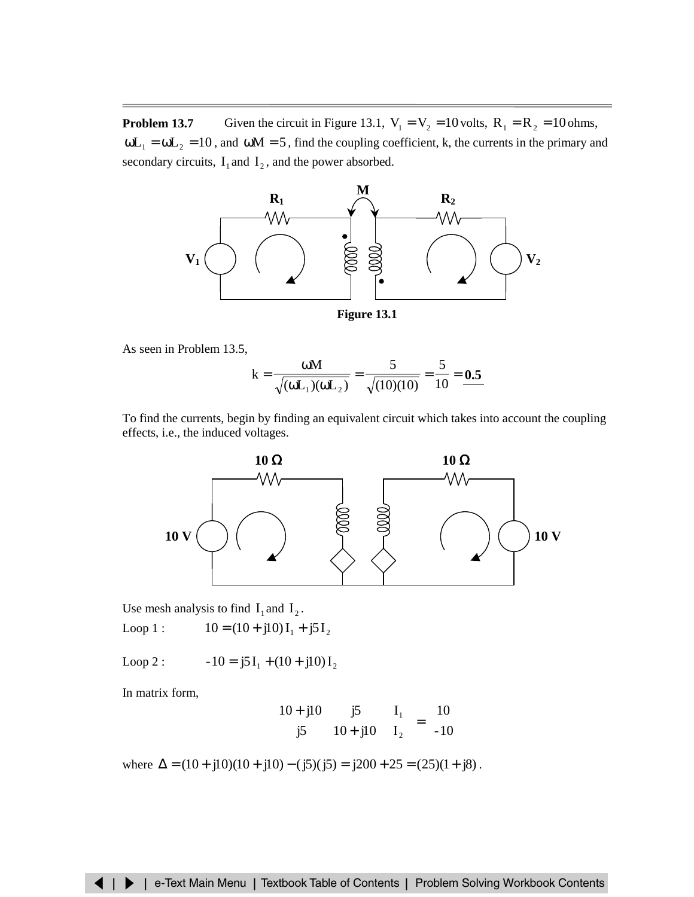**Problem 13.7** Given the circuit in Figure 13.1,  $V_1 = V_2 = 10$  volts,  $R_1 = R_2 = 10$  ohms,  $\omega L_1 = \omega L_2 = 10$ , and  $\omega M = 5$ , find the coupling coefficient, k, the currents in the primary and secondary circuits,  $I_1$  and  $I_2$ , and the power absorbed.



As seen in Problem 13.5,

$$
k = \frac{\omega M}{\sqrt{(\omega L_1)(\omega L_2)}} = \frac{5}{\sqrt{(10)(10)}} = \frac{5}{10} = 0.5
$$

To find the currents, begin by finding an equivalent circuit which takes into account the coupling effects, i.e., the induced voltages.



Use mesh analysis to find  $I_1$  and  $I_2$ . Loop 1 :  $10 = (10 + j10)I_1 + j5I_2$ 

Loop 2 :  $-10 = j5I_1 + (10 + j10)I_2$ 

In matrix form,

$$
\begin{bmatrix} 10+j10 & j5 \ j5 & 10+j10 \end{bmatrix} \begin{bmatrix} I_1 \\ I_2 \end{bmatrix} = \begin{bmatrix} 10 \\ -10 \end{bmatrix}
$$

where  $\Delta = (10 + j10)(10 + j10) - (j5)(j5) = j200 + 25 = (25)(1 + j8)$ .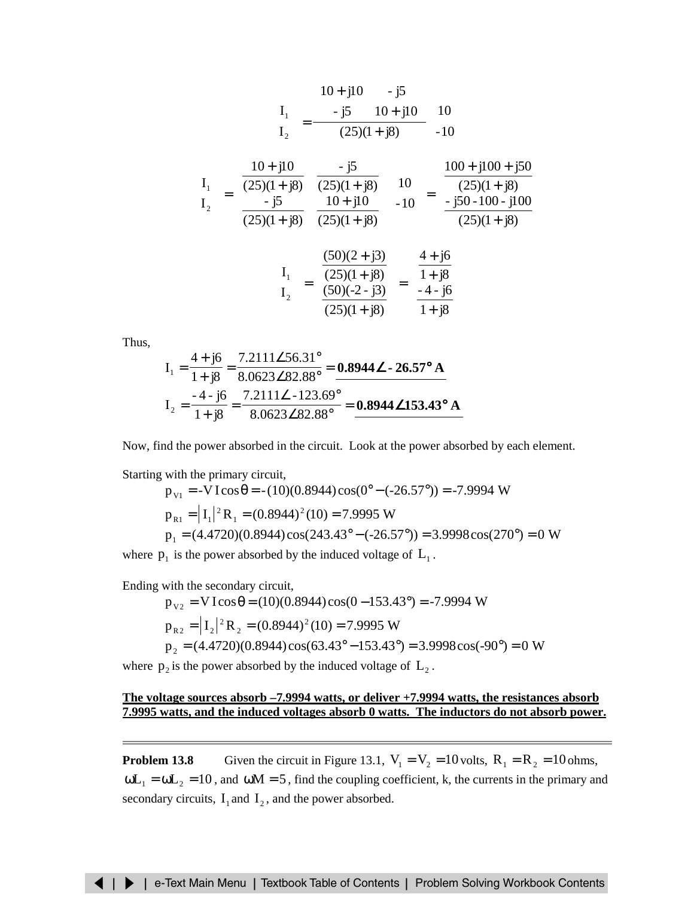$$
\begin{bmatrix} I_1 \\ I_2 \end{bmatrix} = \frac{\begin{bmatrix} 10 + j10 & -j5 \\ -j5 & 10 + j10 \end{bmatrix}}{(25)(1 + j8)} \begin{bmatrix} 10 \\ -10 \end{bmatrix}
$$

$$
\begin{bmatrix} I_1 \\ I_2 \end{bmatrix} = \begin{bmatrix} \frac{10 + j10}{(25)(1 + j8)} & -\frac{j5}{(25)(1 + j8)} \\ \frac{-j5}{(25)(1 + j8)} & \frac{10 + j10}{(25)(1 + j8)} \end{bmatrix} \begin{bmatrix} 10 \\ -10 \end{bmatrix} = \begin{bmatrix} \frac{100 + j100 + j50}{(25)(1 + j8)} \\ \frac{-j50 - 100 - j100}{(25)(1 + j8)} \end{bmatrix}
$$

$$
\begin{bmatrix} I_1 \\ I_2 \end{bmatrix} = \begin{bmatrix} \frac{(50)(2 + j3)}{(25)(1 + j8)} \\ \frac{(50)(-2 - j3)}{(25)(1 + j8)} \end{bmatrix} = \begin{bmatrix} \frac{4 + j6}{1 + j8} \\ \frac{-4 - j6}{1 + j8} \end{bmatrix}
$$

Thus,

$$
I_1 = \frac{4 + j6}{1 + j8} = \frac{7.2111\angle 56.31^{\circ}}{8.0623\angle 82.88^{\circ}} = \frac{\textbf{0.8944}\angle \textbf{-26.57}^{\circ} \textbf{A}}{4.57 \text{ A}} = I_2 = \frac{-4 - j6}{1 + j8} = \frac{7.2111\angle -123.69^{\circ}}{8.0623\angle 82.88^{\circ}} = \frac{\textbf{0.8944}\angle 153.43^{\circ} \textbf{A}}{4.53.43^{\circ} \textbf{A}}
$$

Now, find the power absorbed in the circuit. Look at the power absorbed by each element.

Starting with the primary circuit,

$$
p_{v1} = -VI\cos\theta = -(10)(0.8944)\cos(0^\circ - (-26.57^\circ)) = -7.9994 \text{ W}
$$
  
\n
$$
p_{R1} = |I_1|^2 R_1 = (0.8944)^2 (10) = 7.9995 \text{ W}
$$
  
\n
$$
p_1 = (4.4720)(0.8944)\cos(243.43^\circ - (-26.57^\circ)) = 3.9998\cos(270^\circ) = 0 \text{ W}
$$

where  $p_1$  is the power absorbed by the induced voltage of  $L_1$ .

Ending with the secondary circuit,

$$
p_{v2} = VI\cos\theta = (10)(0.8944)\cos(0 - 153.43^\circ) = -7.9994 \text{ W}
$$
  
\n
$$
p_{R2} = |I_2|^2 R_2 = (0.8944)^2 (10) = 7.9995 \text{ W}
$$
  
\n
$$
p_2 = (4.4720)(0.8944)\cos(63.43^\circ - 153.43^\circ) = 3.9998\cos(-90^\circ) = 0 \text{ W}
$$

where  $p_2$  is the power absorbed by the induced voltage of  $L_2$ .

## **The voltage sources absorb –7.9994 watts, or deliver +7.9994 watts, the resistances absorb 7.9995 watts, and the induced voltages absorb 0 watts. The inductors do not absorb power.**

**Problem 13.8** Given the circuit in Figure 13.1,  $V_1 = V_2 = 10$  volts,  $R_1 = R_2 = 10$  ohms,  $\omega L_1 = \omega L_2 = 10$ , and  $\omega M = 5$ , find the coupling coefficient, k, the currents in the primary and secondary circuits,  $I_1$  and  $I_2$ , and the power absorbed.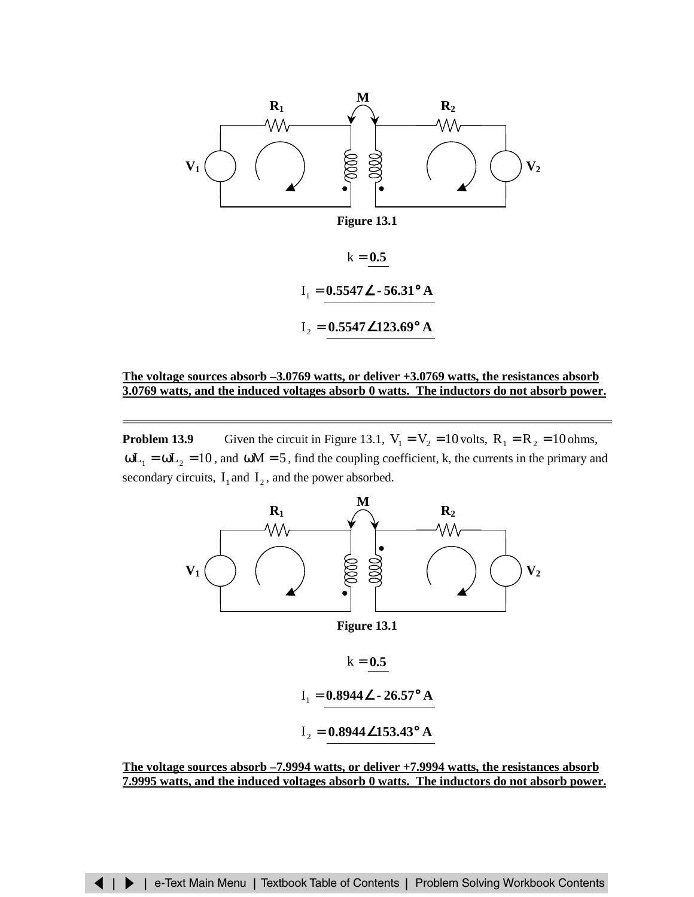

### **The voltage sources absorb –3.0769 watts, or deliver +3.0769 watts, the resistances absorb 3.0769 watts, and the induced voltages absorb 0 watts. The inductors do not absorb power.**

**Problem 13.9** Given the circuit in Figure 13.1,  $V_1 = V_2 = 10$  volts,  $R_1 = R_2 = 10$  ohms,  $\omega L_1 = \omega L_2 = 10$ , and  $\omega M = 5$ , find the coupling coefficient, k, the currents in the primary and secondary circuits,  $I_1$  and  $I_2$ , and the power absorbed.



**Figure 13.1**

 $k = 0.5$ 

$$
I_1 = 0.8944 \angle -26.57^{\circ} A
$$

$$
I_2 = 0.8944 \angle 153.43^\circ
$$
 A

**The voltage sources absorb –7.9994 watts, or deliver +7.9994 watts, the resistances absorb 7.9995 watts, and the induced voltages absorb 0 watts. The inductors do not absorb power.**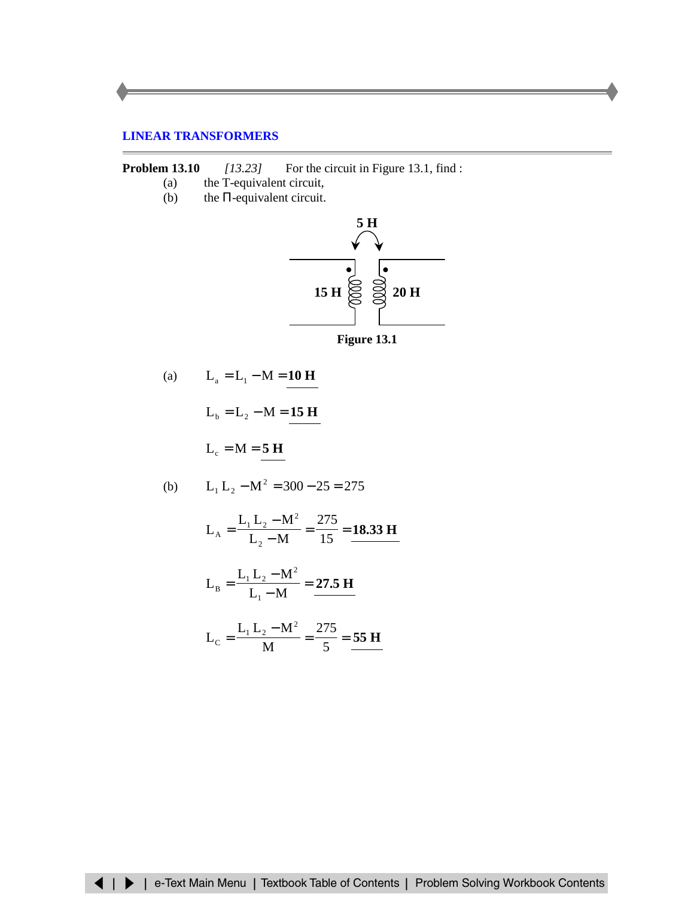## <span id="page-12-0"></span>**LINEAR TRANSFORMERS**

**Problem 13.10** *[13.23]* For the circuit in Figure 13.1, find :

- (a) the T-equivalent circuit,
- (b) the  $\Pi$ -equivalent circuit.



(a) 
$$
L_a = L_1 - M = 10 H
$$

$$
L_b = L_2 - M = 15 \text{ H}
$$

$$
L_c = M = 5 \text{ H}
$$

(b) 
$$
L_1 L_2 - M^2 = 300 - 25 = 275
$$

$$
L_A = \frac{L_1 L_2 - M^2}{L_2 - M} = \frac{275}{15} = \frac{18.33 \text{ H}}{15}
$$

$$
L_B = \frac{L_1 L_2 - M^2}{L_1 - M} = \frac{27.5 \text{ H}}{25}
$$

$$
L_C = \frac{L_1 L_2 - M^2}{M} = \frac{275}{5} = \frac{55 \text{ H}}{25}
$$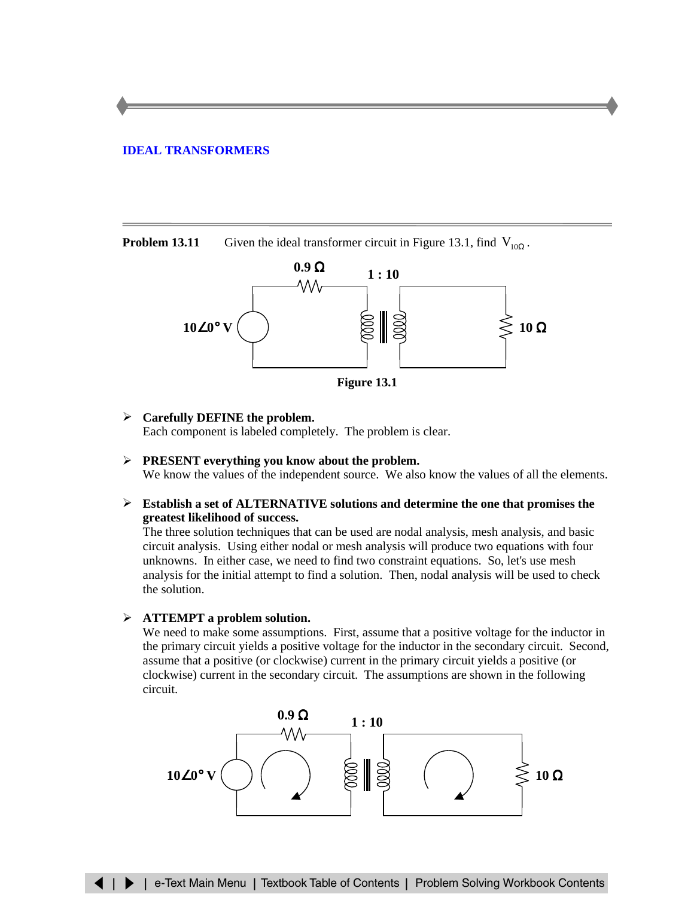### <span id="page-13-0"></span>**[IDEAL TRANSFORMERS](#page-18-0)**

**Problem 13.11** Given the ideal transformer circuit in Figure 13.1, find  $V_{10Q}$ .



**Figure 13.1**

### ¾ **Carefully DEFINE the problem.**

Each component is labeled completely. The problem is clear.

- ¾ **PRESENT everything you know about the problem.** We know the values of the independent source. We also know the values of all the elements.
- ¾ **Establish a set of ALTERNATIVE solutions and determine the one that promises the greatest likelihood of success.**

The three solution techniques that can be used are nodal analysis, mesh analysis, and basic circuit analysis. Using either nodal or mesh analysis will produce two equations with four unknowns. In either case, we need to find two constraint equations. So, let's use mesh analysis for the initial attempt to find a solution. Then, nodal analysis will be used to check the solution.

### ¾ **ATTEMPT a problem solution.**

We need to make some assumptions. First, assume that a positive voltage for the inductor in the primary circuit yields a positive voltage for the inductor in the secondary circuit. Second, assume that a positive (or clockwise) current in the primary circuit yields a positive (or clockwise) current in the secondary circuit. The assumptions are shown in the following circuit.

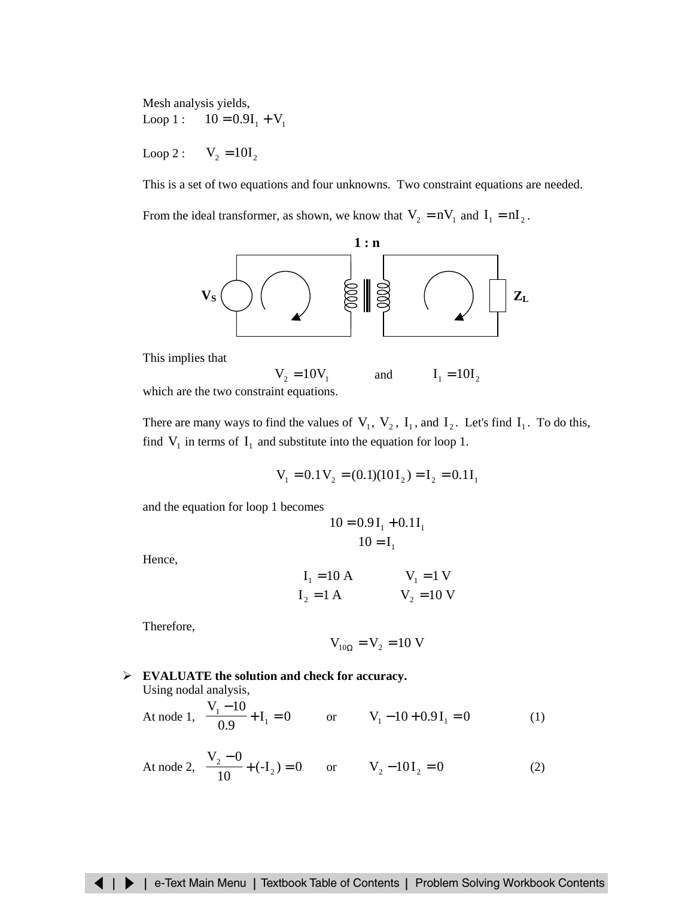Mesh analysis yields, Loop 1 :  $10 = 0.9I_1 + V_1$ 

Loop 2 :  $V_2 = 10I_2$ 

This is a set of two equations and four unknowns. Two constraint equations are needed. From the ideal transformer, as shown, we know that  $V_2 = nV_1$  and  $I_1 = nI_2$ .



This implies that

 $V_2 = 10V_1$  and  $I_1 = 10I_2$ which are the two constraint equations.

There are many ways to find the values of  $V_1$ ,  $V_2$ ,  $I_1$ , and  $I_2$ . Let's find  $I_1$ . To do this, find  $V_1$  in terms of  $I_1$  and substitute into the equation for loop 1.

$$
V_1 = 0.1 V_2 = (0.1)(10 I_2) = I_2 = 0.1 I_1
$$

and the equation for loop 1 becomes

$$
10 = 0.9 I_1 + 0.1 I_1
$$

$$
10 = I_1
$$

Hence,

$$
I_1 = 10 \text{ A}
$$
  $V_1 = 1 \text{ V}$   
 $I_2 = 1 \text{ A}$   $V_2 = 10 \text{ V}$ 

Therefore,

$$
V_{10\Omega} = V_2 = 10 V
$$

¾ **EVALUATE the solution and check for accuracy.** Using nodal analysis,

At node 1, 
$$
\frac{V_1 - 10}{0.9} + I_1 = 0
$$
 or  $V_1 - 10 + 0.9I_1 = 0$  (1)

At node 2, 
$$
\frac{V_2 - 0}{10} + (-I_2) = 0
$$
 or  $V_2 - 10I_2 = 0$  (2)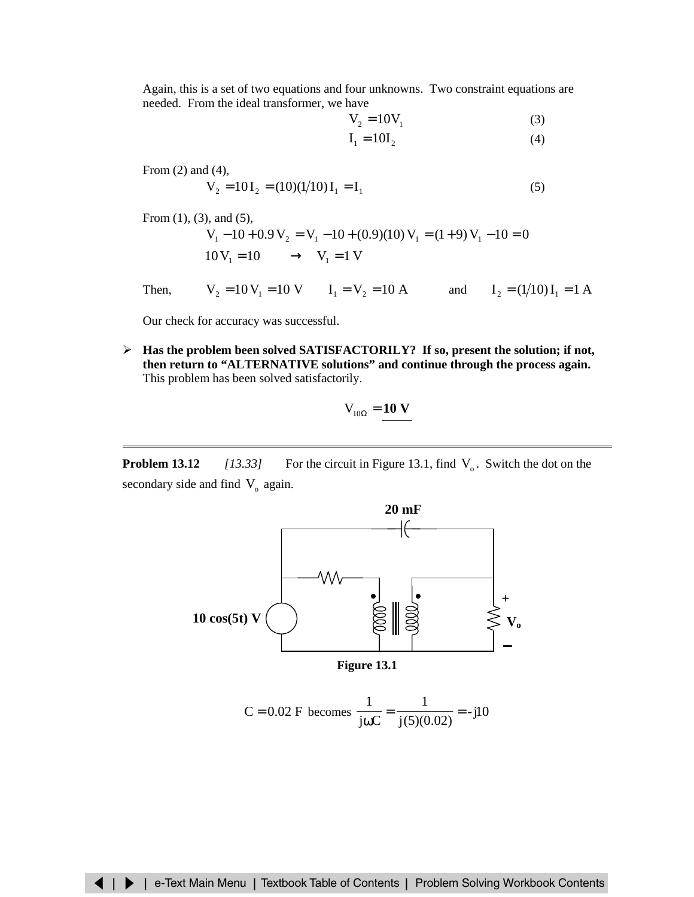Again, this is a set of two equations and four unknowns. Two constraint equations are needed. From the ideal transformer, we have

$$
V_2 = 10V_1 \tag{3}
$$

$$
\mathbf{I}_1 = 10\mathbf{I}_2 \tag{4}
$$

From (2) and (4),  
\n
$$
V_2 = 10I_2 = (10)(1/10)I_1 = I_1
$$
\n(5)

From (1), (3), and (5),  $V_1 - 10 + 0.9 V_2 = V_1 - 10 + (0.9)(10) V_1 = (1 + 9) V_1 - 10 = 0$  $10V_1 = 10 \longrightarrow V_1 = 1 V$ 

Then,  $V_2 = 10 V_1 = 10 V$   $I_1 = V_2 = 10 A$  and  $I_2 = (1/10) I_1 = 1 A$ 

Our check for accuracy was successful.

¾ **Has the problem been solved SATISFACTORILY? If so, present the solution; if not, then return to "ALTERNATIVE solutions" and continue through the process again.** This problem has been solved satisfactorily.

$$
V_{10\Omega} = 10 V
$$

**Problem 13.12** *[13.33]* For the circuit in Figure 13.1, find  $V_0$ . Switch the dot on the secondary side and find  $V_0$  again.



$$
C = 0.02
$$
 F becomes  $\frac{1}{j\omega C} = \frac{1}{j(5)(0.02)} = -j10$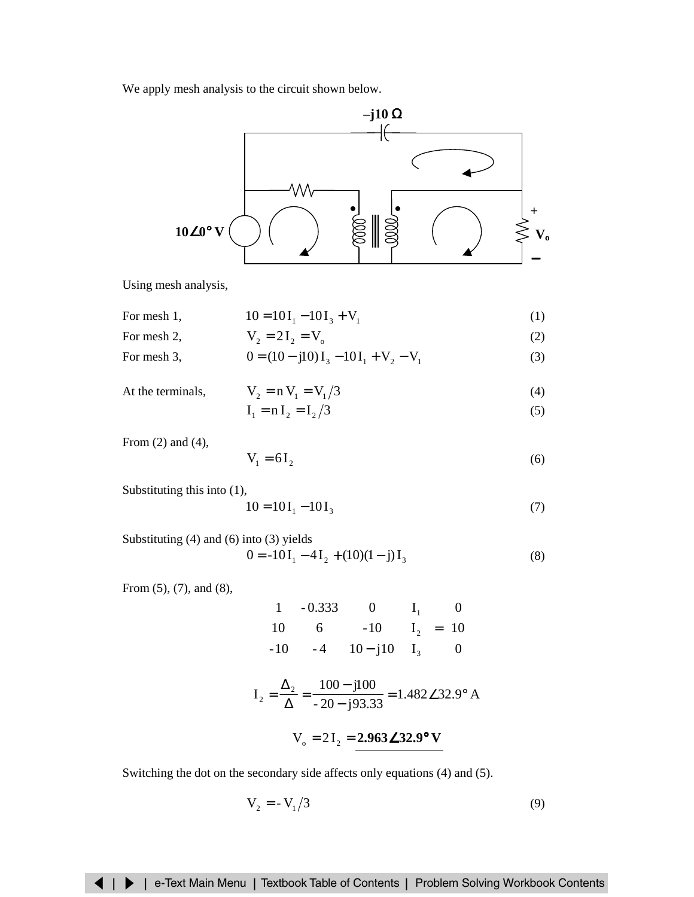We apply mesh analysis to the circuit shown below.



Using mesh analysis,

For mesh 1,  
\n
$$
10 = 10I_1 - 10I_3 + V_1
$$
 (1)  
\nFor mesh 2,  
\n $V_2 = 2I_2 = V_2$  (2)

For mesh 3,  
\n
$$
0 = (10 - j10)I_3 - 10I_1 + V_2 - V_1
$$
\n(3)

At the terminals, 
$$
V_2 = nV_1 = V_1/3
$$
 (4)

$$
\mathbf{I}_1 = \mathbf{n} \mathbf{I}_2 = \mathbf{I}_2 / 3 \tag{5}
$$

From (2) and (4),

$$
V_1 = 6I_2 \tag{6}
$$

Substituting this into (1),

$$
10 = 10I_1 - 10I_3 \tag{7}
$$

Substituting (4) and (6) into (3) yields  $0 = -10 I_1 - 4I_2 + (10)(1 - j)I_3$  (8)

 $\overline{a}$ 

From (5), (7), and (8),

$$
\begin{bmatrix} 1 & -0.333 & 0 \\ 10 & 6 & -10 \\ -10 & -4 & 10 - j10 \end{bmatrix} \begin{bmatrix} I_1 \\ I_2 \\ I_3 \end{bmatrix} = \begin{bmatrix} 0 \\ 10 \\ 0 \end{bmatrix}
$$

$$
I_2 = \frac{\Delta_2}{\Delta} = \frac{100 - j100}{-20 - j93.33} = 1.482\angle 32.9^\circ A
$$

$$
V_o = 2I_2 = 2.963 \angle 32.9^{\circ} \text{ V}
$$

Switching the dot on the secondary side affects only equations (4) and (5).

$$
V_2 = -V_1/3\tag{9}
$$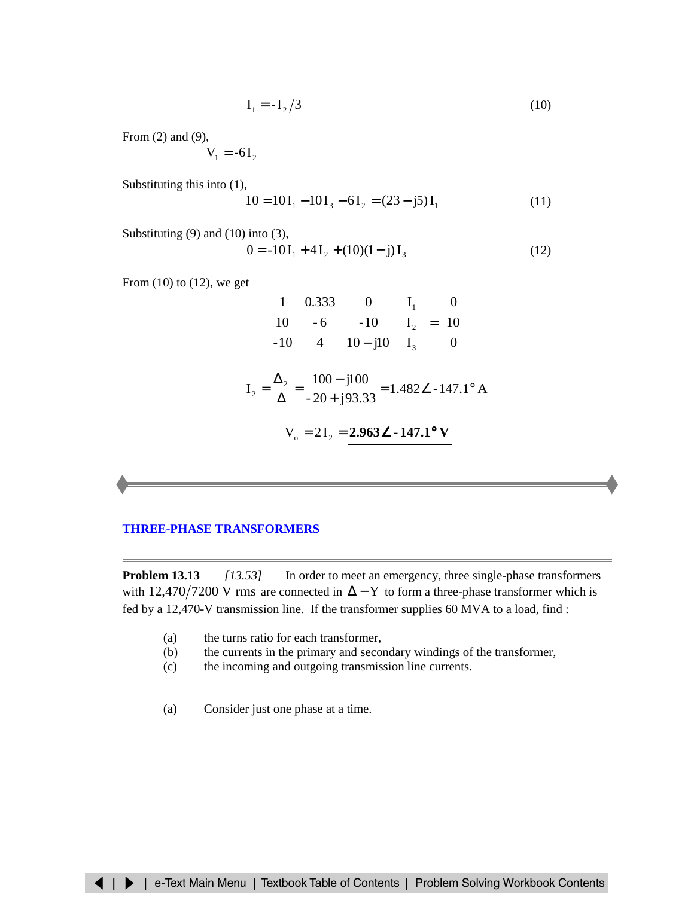$$
\mathbf{I}_1 = -\mathbf{I}_2/3\tag{10}
$$

<span id="page-17-0"></span>From (2) and (9),

$$
V_1 = -6I_2
$$

Substituting this into (1),

$$
10 = 10I1 - 10I3 - 6I2 = (23 - j5)I1
$$
 (11)

Substituting  $(9)$  and  $(10)$  into  $(3)$ ,

$$
0 = -10I_1 + 4I_2 + (10)(1 - j)I_3
$$
 (12)

From  $(10)$  to  $(12)$ , we get

$$
\begin{bmatrix} 1 & 0.333 & 0 \\ 10 & -6 & -10 \\ -10 & 4 & 10 - j10 \end{bmatrix} \begin{bmatrix} I_1 \\ I_2 \\ I_3 \end{bmatrix} = \begin{bmatrix} 0 \\ 10 \\ 0 \end{bmatrix}
$$

$$
I_2 = \frac{\Delta_2}{\Delta} = \frac{100 - j100}{-20 + j93.33} = 1.482 \angle -147.1^\circ A
$$

$$
V_0 = 2I_2 = \frac{2.963 \angle -147.1^\circ V}{2.963 \angle -147.1^\circ V}
$$

### **[THREE-PHASE TRANSFORMERS](#page-29-0)**

**Problem 13.13** *[13.53]* In order to meet an emergency, three single-phase transformers with 12,470/7200 V rms are connected in  $\Delta$  – Y to form a three-phase transformer which is fed by a 12,470-V transmission line. If the transformer supplies 60 MVA to a load, find :

- (a) the turns ratio for each transformer,
- (b) the currents in the primary and secondary windings of the transformer,
- (c) the incoming and outgoing transmission line currents.
- (a) Consider just one phase at a time.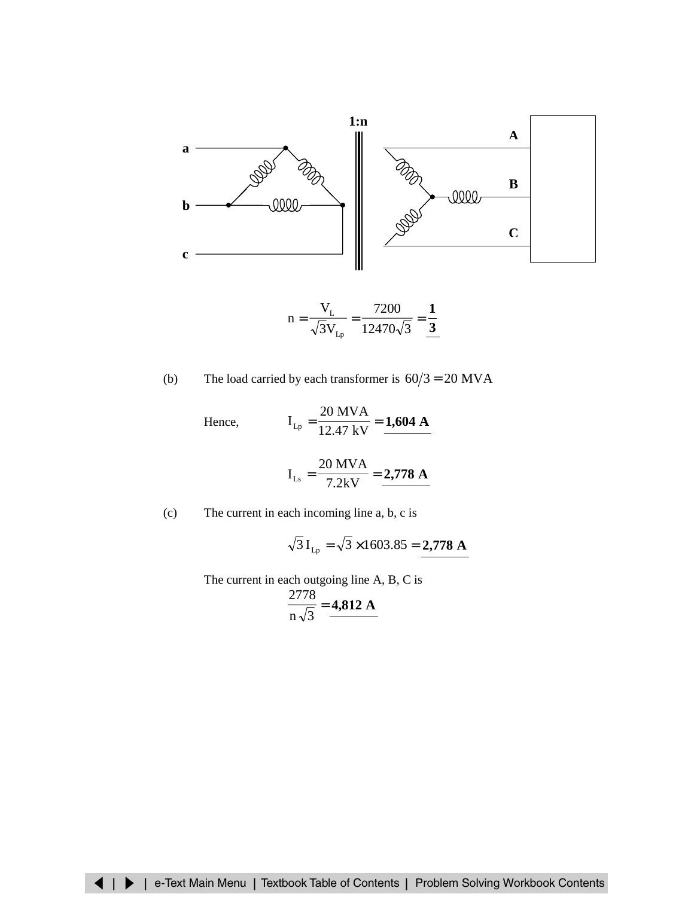<span id="page-18-0"></span>

$$
n = \frac{V_{L}}{\sqrt{3}V_{Lp}} = \frac{7200}{12470\sqrt{3}} = \frac{1}{3}
$$

(b) The load carried by each transformer is 
$$
60/3 = 20
$$
 MVA

Hence, 
$$
I_{Lp} = \frac{20 \text{ MVA}}{12.47 \text{ kV}} = \frac{1,604 \text{ A}}{1}
$$

$$
I_{Ls} = \frac{20 \text{ MVA}}{7.2 \text{kV}} = 2.778 \text{ A}
$$

(c) The current in each incoming line a, b, c is

$$
\sqrt{3} I_{Lp} = \sqrt{3} \times 1603.85 = 2,778
$$
 A

The current in each outgoing line A, B, C is

$$
\frac{2778}{n\sqrt{3}} = 4,812 \text{ A}
$$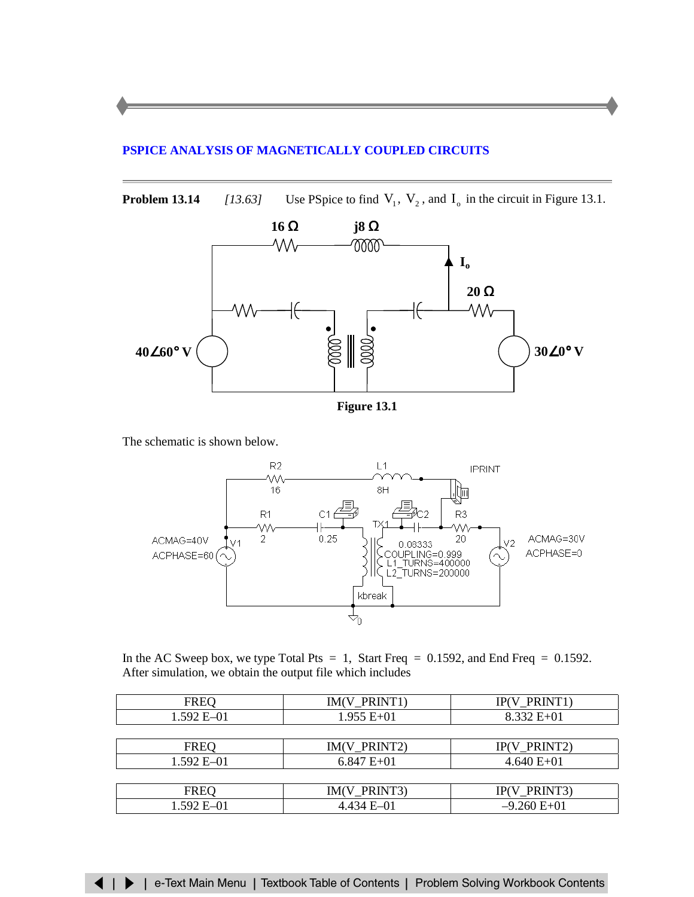### <span id="page-19-0"></span>**PSPICE ANALYSIS OF MAGNETICALLY [COUPLED CIRCUITS](#page-32-0)**

**Problem 13.14** *[13.63]* Use PSpice to find  $V_1$ ,  $V_2$ , and  $I_0$  in the circuit in Figure 13.1.



The schematic is shown below.



In the AC Sweep box, we type Total Pts = 1, Start Freq =  $0.1592$ , and End Freq =  $0.1592$ . After simulation, we obtain the output file which includes

| <b>FREQ</b>    | IM(V_PRINT1)   | IP(V_PRINT1)    |
|----------------|----------------|-----------------|
| $1.592 E - 01$ | $1.955 E+01$   | $8.332 E+01$    |
|                |                |                 |
| <b>FREQ</b>    | IM(V_PRINT2)   | $IP(V_P RINT2)$ |
| $1.592 E - 01$ | $6.847 E + 01$ | $4.640 E+01$    |
|                |                |                 |
| <b>FREQ</b>    | IM(V_PRINT3)   | IP(V_PRINT3)    |
| 1.592 E-01     | $4.434 E - 01$ | $-9.260 E+01$   |